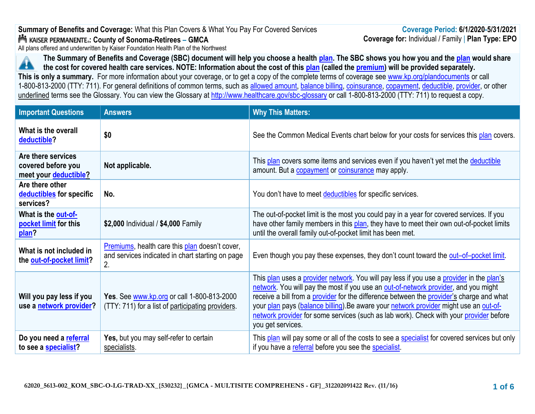# **Summary of Benefits and Coverage:** What this Plan Covers & What You Pay For Covered Services **: County of Sonoma-Retirees – GMCA**

All plans offered and underwritten by Kaiser Foundation Health Plan of the Northwest

**The Summary of Benefits and Coverage (SBC) document will help you choose a healt[h plan](https://www.healthcare.gov/sbc-glossary/#plan). The SBC shows you how you and th[e plan](https://www.healthcare.gov/sbc-glossary/#plan) would share**  Æ **the cost for covered health care services. NOTE: Information about the cost of this [plan](https://www.healthcare.gov/sbc-glossary/#plan) (called the [premium\)](https://www.healthcare.gov/sbc-glossary/#premium) will be provided separately. This is only a summary.** For more information about your coverage, or to get a copy of the complete terms of coverage see [www.kp.org/plandocuments](http://www.kp.org/plandocuments) or call 1-800-813-2000 (TTY: 711). For general definitions of common terms, such as [allowed amount,](https://www.healthcare.gov/sbc-glossary/#allowed-amount) [balance billing,](https://www.healthcare.gov/sbc-glossary/#balance-billing) [coinsurance,](https://www.healthcare.gov/sbc-glossary/#coinsurance) [copayment,](https://www.healthcare.gov/sbc-glossary/#copayment) [deductible,](https://www.healthcare.gov/sbc-glossary/#deductible) [provider,](https://www.healthcare.gov/sbc-glossary/#provider) or other underlined terms see the Glossary. You can view the Glossary at <http://www.healthcare.gov/sbc-glossary> or call 1-800-813-2000 (TTY: 711) to request a copy.

| <b>Important Questions</b>                                        | <b>Answers</b>                                                                                           | <b>Why This Matters:</b>                                                                                                                                                                                                                                                                                                                                                                                                                                                            |
|-------------------------------------------------------------------|----------------------------------------------------------------------------------------------------------|-------------------------------------------------------------------------------------------------------------------------------------------------------------------------------------------------------------------------------------------------------------------------------------------------------------------------------------------------------------------------------------------------------------------------------------------------------------------------------------|
| What is the overall<br>deductible?                                | \$0                                                                                                      | See the Common Medical Events chart below for your costs for services this plan covers.                                                                                                                                                                                                                                                                                                                                                                                             |
| Are there services<br>covered before you<br>meet your deductible? | Not applicable.                                                                                          | This plan covers some items and services even if you haven't yet met the deductible<br>amount. But a copayment or coinsurance may apply.                                                                                                                                                                                                                                                                                                                                            |
| Are there other<br>deductibles for specific<br>services?          | No.                                                                                                      | You don't have to meet deductibles for specific services.                                                                                                                                                                                                                                                                                                                                                                                                                           |
| What is the out-of-<br>pocket limit for this<br>plan?             | \$2,000 Individual / \$4,000 Family                                                                      | The out-of-pocket limit is the most you could pay in a year for covered services. If you<br>have other family members in this plan, they have to meet their own out-of-pocket limits<br>until the overall family out-of-pocket limit has been met.                                                                                                                                                                                                                                  |
| What is not included in<br>the out-of-pocket limit?               | Premiums, health care this plan doesn't cover,<br>and services indicated in chart starting on page<br>2. | Even though you pay these expenses, they don't count toward the out-of-pocket limit.                                                                                                                                                                                                                                                                                                                                                                                                |
| Will you pay less if you<br>use a network provider?               | Yes. See www.kp.org or call 1-800-813-2000<br>(TTY: 711) for a list of participating providers.          | This plan uses a provider network. You will pay less if you use a provider in the plan's<br>network. You will pay the most if you use an out-of-network provider, and you might<br>receive a bill from a provider for the difference between the provider's charge and what<br>your plan pays (balance billing). Be aware your network provider might use an out-of-<br>network provider for some services (such as lab work). Check with your provider before<br>you get services. |
| Do you need a referral<br>to see a specialist?                    | Yes, but you may self-refer to certain<br>specialists.                                                   | This plan will pay some or all of the costs to see a specialist for covered services but only<br>if you have a referral before you see the specialist.                                                                                                                                                                                                                                                                                                                              |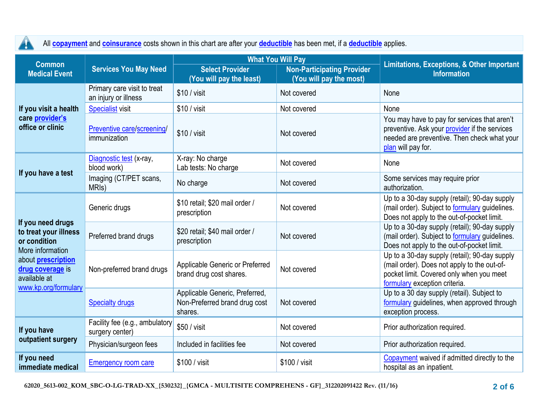| All <b>copayment</b> and <b>coinsurance</b> costs shown in this chart are after your <b>deductible</b> has been met, if a <b>deductible</b> applies.<br><b>A</b>        |                                                     |                                                                            |                                                                                          |                                                                                                                                                                           |
|-------------------------------------------------------------------------------------------------------------------------------------------------------------------------|-----------------------------------------------------|----------------------------------------------------------------------------|------------------------------------------------------------------------------------------|---------------------------------------------------------------------------------------------------------------------------------------------------------------------------|
| <b>Common</b><br><b>Medical Event</b>                                                                                                                                   | <b>Services You May Need</b>                        | <b>Select Provider</b><br>(You will pay the least)                         | <b>What You Will Pay</b><br><b>Non-Participating Provider</b><br>(You will pay the most) | <b>Limitations, Exceptions, &amp; Other Important</b><br><b>Information</b>                                                                                               |
|                                                                                                                                                                         | Primary care visit to treat<br>an injury or illness | \$10 / visit                                                               | Not covered                                                                              | None                                                                                                                                                                      |
| If you visit a health                                                                                                                                                   | <b>Specialist visit</b>                             | $$10 /$ visit                                                              | Not covered                                                                              | None                                                                                                                                                                      |
| care provider's<br>office or clinic                                                                                                                                     | Preventive care/screening/<br>immunization          | \$10 / visit                                                               | Not covered                                                                              | You may have to pay for services that aren't<br>preventive. Ask your provider if the services<br>needed are preventive. Then check what your<br>plan will pay for.        |
|                                                                                                                                                                         | Diagnostic test (x-ray,<br>blood work)              | X-ray: No charge<br>Lab tests: No charge                                   | Not covered                                                                              | None                                                                                                                                                                      |
| If you have a test                                                                                                                                                      | Imaging (CT/PET scans,<br>MRI <sub>s</sub> )        | No charge                                                                  | Not covered                                                                              | Some services may require prior<br>authorization.                                                                                                                         |
| If you need drugs<br>to treat your illness<br>or condition<br>More information<br>about <b>prescription</b><br>drug coverage is<br>available at<br>www.kp.org/formulary | Generic drugs                                       | \$10 retail; \$20 mail order /<br>prescription                             | Not covered                                                                              | Up to a 30-day supply (retail); 90-day supply<br>(mail order). Subject to <b>formulary</b> guidelines.<br>Does not apply to the out-of-pocket limit.                      |
|                                                                                                                                                                         | Preferred brand drugs                               | \$20 retail; \$40 mail order /<br>prescription                             | Not covered                                                                              | Up to a 30-day supply (retail); 90-day supply<br>(mail order). Subject to <b>formulary</b> guidelines.<br>Does not apply to the out-of-pocket limit.                      |
|                                                                                                                                                                         | Non-preferred brand drugs                           | Applicable Generic or Preferred<br>brand drug cost shares.                 | Not covered                                                                              | Up to a 30-day supply (retail); 90-day supply<br>(mail order). Does not apply to the out-of-<br>pocket limit. Covered only when you meet<br>formulary exception criteria. |
|                                                                                                                                                                         | <b>Specialty drugs</b>                              | Applicable Generic, Preferred,<br>Non-Preferred brand drug cost<br>shares. | Not covered                                                                              | Up to a 30 day supply (retail). Subject to<br>formulary guidelines, when approved through<br>exception process.                                                           |
| If you have                                                                                                                                                             | Facility fee (e.g., ambulatory<br>surgery center)   | \$50 / visit                                                               | Not covered                                                                              | Prior authorization required.                                                                                                                                             |
| outpatient surgery                                                                                                                                                      | Physician/surgeon fees                              | Included in facilities fee                                                 | Not covered                                                                              | Prior authorization required.                                                                                                                                             |
| If you need<br>immediate medical                                                                                                                                        | <b>Emergency room care</b>                          | \$100 / visit                                                              | \$100 / visit                                                                            | Copayment waived if admitted directly to the<br>hospital as an inpatient.                                                                                                 |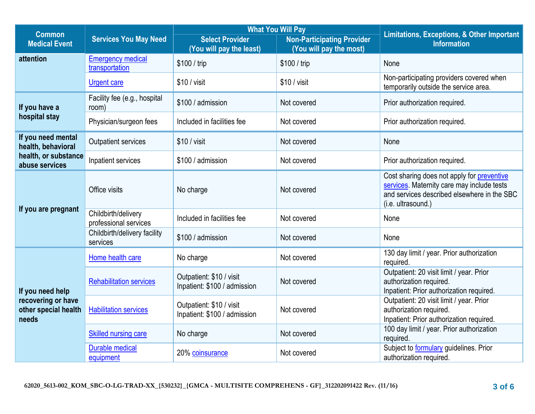|                                                                         |                                              | <b>What You Will Pay</b>                                 |                                   |                                                                                                                                                                      |  |
|-------------------------------------------------------------------------|----------------------------------------------|----------------------------------------------------------|-----------------------------------|----------------------------------------------------------------------------------------------------------------------------------------------------------------------|--|
| <b>Common</b><br><b>Medical Event</b>                                   | <b>Services You May Need</b>                 | <b>Select Provider</b>                                   | <b>Non-Participating Provider</b> | <b>Limitations, Exceptions, &amp; Other Important</b><br><b>Information</b>                                                                                          |  |
|                                                                         |                                              | (You will pay the least)                                 | (You will pay the most)           |                                                                                                                                                                      |  |
| attention                                                               | <b>Emergency medical</b><br>transportation   | \$100 / trip                                             | \$100 / trip                      | None                                                                                                                                                                 |  |
|                                                                         | <b>Urgent care</b>                           | $$10 /$ visit                                            | $$10 /$ visit                     | Non-participating providers covered when<br>temporarily outside the service area.                                                                                    |  |
| If you have a                                                           | Facility fee (e.g., hospital<br>room)        | \$100 / admission                                        | Not covered                       | Prior authorization required.                                                                                                                                        |  |
| hospital stay                                                           | Physician/surgeon fees                       | Included in facilities fee                               | Not covered                       | Prior authorization required.                                                                                                                                        |  |
| If you need mental<br>health, behavioral                                | <b>Outpatient services</b>                   | $$10 /$ visit                                            | Not covered                       | None                                                                                                                                                                 |  |
| health, or substance<br>abuse services                                  | Inpatient services                           | \$100 / admission                                        | Not covered                       | Prior authorization required.                                                                                                                                        |  |
| If you are pregnant                                                     | Office visits                                | No charge                                                | Not covered                       | Cost sharing does not apply for <b>preventive</b><br>services. Maternity care may include tests<br>and services described elsewhere in the SBC<br>(i.e. ultrasound.) |  |
|                                                                         | Childbirth/delivery<br>professional services | Included in facilities fee                               | Not covered                       | None                                                                                                                                                                 |  |
|                                                                         | Childbirth/delivery facility<br>services     | \$100 / admission                                        | Not covered                       | None                                                                                                                                                                 |  |
|                                                                         | Home health care                             | No charge                                                | Not covered                       | 130 day limit / year. Prior authorization<br>required.                                                                                                               |  |
| If you need help<br>recovering or have<br>other special health<br>needs | <b>Rehabilitation services</b>               | Outpatient: \$10 / visit<br>Inpatient: \$100 / admission | Not covered                       | Outpatient: 20 visit limit / year. Prior<br>authorization required.<br>Inpatient: Prior authorization required.                                                      |  |
|                                                                         | <b>Habilitation services</b>                 | Outpatient: \$10 / visit<br>Inpatient: \$100 / admission | Not covered                       | Outpatient: 20 visit limit / year. Prior<br>authorization required.<br>Inpatient: Prior authorization required.                                                      |  |
|                                                                         | <b>Skilled nursing care</b>                  | No charge                                                | Not covered                       | 100 day limit / year. Prior authorization<br>required.                                                                                                               |  |
|                                                                         | <b>Durable medical</b><br>equipment          | 20% coinsurance                                          | Not covered                       | Subject to <b>formulary</b> guidelines. Prior<br>authorization required.                                                                                             |  |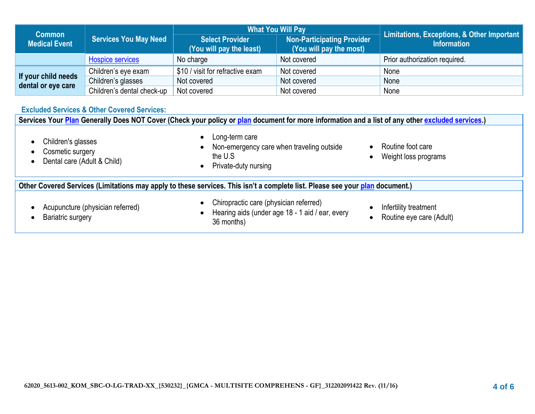| <b>Common</b>        |                              | <b>What You Will Pay</b>                           |                                                              | Limitations, Exceptions, & Other Important |
|----------------------|------------------------------|----------------------------------------------------|--------------------------------------------------------------|--------------------------------------------|
| <b>Medical Event</b> | <b>Services You May Need</b> | <b>Select Provider</b><br>(You will pay the least) | <b>Non-Participating Provider</b><br>(You will pay the most) | <b>Information</b>                         |
|                      | <b>Hospice services</b>      | No charge                                          | Not covered                                                  | Prior authorization required.              |
| If your child needs  | Children's eye exam          | \$10 / visit for refractive exam                   | Not covered                                                  | None                                       |
| dental or eye care   | Children's glasses           | Not covered                                        | Not covered                                                  | None                                       |
|                      | Children's dental check-up   | Not covered                                        | Not covered                                                  | None                                       |

## **Excluded Services & Other Covered Services:**

| Services Your Plan Generally Does NOT Cover (Check your policy or plan document for more information and a list of any other excluded services.) |                                                                                                                                       |                                                   |  |
|--------------------------------------------------------------------------------------------------------------------------------------------------|---------------------------------------------------------------------------------------------------------------------------------------|---------------------------------------------------|--|
| Children's glasses<br>Cosmetic surgery<br>Dental care (Adult & Child)                                                                            | Long-term care<br>$\bullet$<br>Non-emergency care when traveling outside<br>$\bullet$<br>the U.S<br>Private-duty nursing<br>$\bullet$ | Routine foot care<br>Weight loss programs         |  |
| Other Covered Services (Limitations may apply to these services. This isn't a complete list. Please see your plan document.)                     |                                                                                                                                       |                                                   |  |
| Acupuncture (physician referred)<br>Bariatric surgery                                                                                            | Chiropractic care (physician referred)<br>$\bullet$<br>Hearing aids (under age 18 - 1 aid / ear, every<br>$\bullet$<br>36 months)     | Infertility treatment<br>Routine eye care (Adult) |  |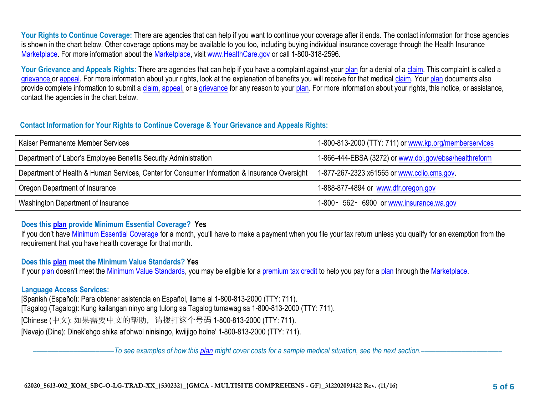Your Rights to Continue Coverage: There are agencies that can help if you want to continue your coverage after it ends. The contact information for those agencies is shown in the chart below. Other coverage options may be available to you too, including buying individual insurance coverage through the Health Insurance [Marketplace.](https://www.healthcare.gov/sbc-glossary/#marketplace) For more information about the [Marketplace,](https://www.healthcare.gov/sbc-glossary/#marketplace) visit [www.HealthCare.gov](http://www.healthcare.gov/) or call 1-800-318-2596.

Your Grievance and Appeals Rights: There are agencies that can help if you have a complaint against your [plan](https://www.healthcare.gov/sbc-glossary/#plan) for a denial of a [claim.](https://www.healthcare.gov/sbc-glossary/#claim) This complaint is called a [grievance](https://www.healthcare.gov/sbc-glossary/#grievance) or [appeal.](https://www.healthcare.gov/sbc-glossary/#appeal) For more information about your rights, look at the explanation of benefits you will receive for that medical [claim.](https://www.healthcare.gov/sbc-glossary/#claim) Your [plan](https://www.healthcare.gov/sbc-glossary/#plan) documents also provide complete information to submit a [claim,](https://www.healthcare.gov/sbc-glossary/#claim) [appeal,](https://www.healthcare.gov/sbc-glossary/#appeal) or a [grievance](https://www.healthcare.gov/sbc-glossary/#grievance) for any reason to your [plan.](https://www.healthcare.gov/sbc-glossary/#plan) For more information about your rights, this notice, or assistance, contact the agencies in the chart below.

## **Contact Information for Your Rights to Continue Coverage & Your Grievance and Appeals Rights:**

| Kaiser Permanente Member Services                                                            | 1-800-813-2000 (TTY: 711) or www.kp.org/memberservices |
|----------------------------------------------------------------------------------------------|--------------------------------------------------------|
| Department of Labor's Employee Benefits Security Administration                              | 1-866-444-EBSA (3272) or www.dol.gov/ebsa/healthreform |
| Department of Health & Human Services, Center for Consumer Information & Insurance Oversight | 1-877-267-2323 x61565 or www.ccijo.cms.gov             |
| Oregon Department of Insurance                                                               | 1-888-877-4894 or www.dfr.oregon.gov                   |
| Washington Department of Insurance                                                           | 1-800 - 562 - 6900 or www.insurance.wa.gov             |

## **Does this [plan](https://www.healthcare.gov/sbc-glossary/#plan) provide Minimum Essential Coverage? Yes**

If you don't have [Minimum Essential Coverage](https://www.healthcare.gov/sbc-glossary/#minimum-essential-coverage) for a month, you'll have to make a payment when you file your tax return unless you qualify for an exemption from the requirement that you have health coverage for that month.

## **Does this [plan](https://www.healthcare.gov/sbc-glossary/#plan) meet the Minimum Value Standards? Yes**

If your [plan](https://www.healthcare.gov/sbc-glossary/#plan) doesn't meet the [Minimum Value Standards,](https://www.healthcare.gov/sbc-glossary/#minimum-value-standard) you may be eligible for a [premium tax credit](https://www.healthcare.gov/sbc-glossary/#premium-tax-credits) to help you pay for a plan through the [Marketplace.](https://www.healthcare.gov/sbc-glossary/#marketplace)

## **Language Access Services:**

[Spanish (Español): Para obtener asistencia en Español, llame al 1-800-813-2000 (TTY: 711). [Tagalog (Tagalog): Kung kailangan ninyo ang tulong sa Tagalog tumawag sa 1-800-813-2000 (TTY: 711). [Chinese (中文): 如果需要中文的帮助,请拨打这个号码 1-800-813-2000 (TTY: 711). [Navajo (Dine): Dinek'ehgo shika at'ohwol ninisingo, kwiijigo holne' 1-800-813-2000 (TTY: 711).

––––––––––––––––––––––*To see examples of how this [plan](https://www.healthcare.gov/sbc-glossary/#plan) might cover costs for a sample medical situation, see the next section.–––––––––––*–––––––––––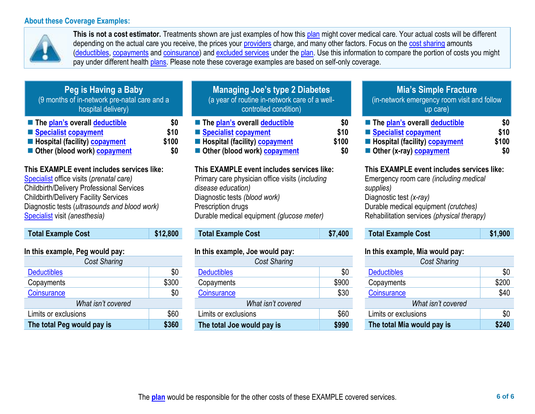#### **About these Coverage Examples:**



**This is not a cost estimator.** Treatments shown are just examples of how this [plan](https://www.healthcare.gov/sbc-glossary/#plan) might cover medical care. Your actual costs will be different depending on the actual care you receive, the prices your [providers](https://www.healthcare.gov/sbc-glossary/#provider) charge, and many other factors. Focus on the [cost sharing](https://www.healthcare.gov/sbc-glossary/#cost-sharing) amounts [\(deductibles,](https://www.healthcare.gov/sbc-glossary/#deductible) [copayments](https://www.healthcare.gov/sbc-glossary/#copayment) and [coinsurance\)](https://www.healthcare.gov/sbc-glossary/#coinsurance) and [excluded services](https://www.healthcare.gov/sbc-glossary/#excluded-services) under the [plan.](https://www.healthcare.gov/sbc-glossary/#plan) Use this information to compare the portion of costs you might pay under different health [plans.](https://www.healthcare.gov/sbc-glossary/#plan) Please note these coverage examples are based on self-only coverage.

| <b>Peg is Having a Baby</b><br>(9 months of in-network pre-natal care and a<br>hospital delivery) |       |
|---------------------------------------------------------------------------------------------------|-------|
| ■ The plan's overall deductible                                                                   | \$0   |
| Specialist copayment                                                                              | \$10  |
| Hospital (facility) copayment                                                                     | \$100 |
| Other (blood work) copayment                                                                      | \$0   |

## **This EXAMPLE event includes services like:**

[Specialist](https://www.healthcare.gov/sbc-glossary/#specialist) office visits (*prenatal care)* Childbirth/Delivery Professional Services Childbirth/Delivery Facility Services Diagnostic tests (*ultrasounds and blood work)* [Specialist](https://www.healthcare.gov/sbc-glossary/#specialist) visit *(anesthesia)* 

| <b>Total Example Cost</b> | \$12,800 |
|---------------------------|----------|
|                           |          |

## **In this example, Peg would pay:**

| <b>Cost Sharing</b>        |       |  |
|----------------------------|-------|--|
| <b>Deductibles</b>         | \$0   |  |
| Copayments                 | \$300 |  |
| Coinsurance                | \$0   |  |
| What isn't covered         |       |  |
| Limits or exclusions       | \$60  |  |
| The total Peg would pay is | \$360 |  |

| <b>Managing Joe's type 2 Diabetes</b><br>(a year of routine in-network care of a well-<br>controlled condition) |             |
|-----------------------------------------------------------------------------------------------------------------|-------------|
| ■ The plan's overall deductible<br>Specialist copayment                                                         | \$0<br>\$10 |
| Hospital (facility) copayment                                                                                   | \$100       |
| Other (blood work) copayment                                                                                    | \$0         |

#### **This EXAMPLE event includes services like:**

Primary care physician office visits (*including disease education)* Diagnostic tests *(blood work)* Prescription drugs Durable medical equipment *(glucose meter)* 

# **Total Example Cost \$7,400**

## **In this example, Joe would pay:**

| <b>Cost Sharing</b>        |       |  |
|----------------------------|-------|--|
| <b>Deductibles</b>         | \$0   |  |
| Copayments                 | \$900 |  |
| Coinsurance                | \$30  |  |
| What isn't covered         |       |  |
| Limits or exclusions       | \$60  |  |
| The total Joe would pay is | \$990 |  |

## **Mia's Simple Fracture** (in-network emergency room visit and follow up care)

| ■ The plan's overall deductible                       | SO.   |
|-------------------------------------------------------|-------|
| ■ Specialist copayment                                | \$10  |
| <b>Example 1</b> Hospital (facility) <b>copayment</b> | \$100 |
| Other (x-ray) copayment                               | SO    |

## **This EXAMPLE event includes services like:**

Emergency room care *(including medical supplies)* Diagnostic test *(x-ray)* Durable medical equipment *(crutches)* Rehabilitation services *(physical therapy)*

**Total Example Cost \$1,900** 

## **In this example, Mia would pay:**

| <b>Cost Sharing</b>        |       |
|----------------------------|-------|
| <b>Deductibles</b>         | \$0   |
| Copayments                 | \$200 |
| Coinsurance                | \$40  |
| What isn't covered         |       |
| Limits or exclusions       | \$0   |
| The total Mia would pay is | \$240 |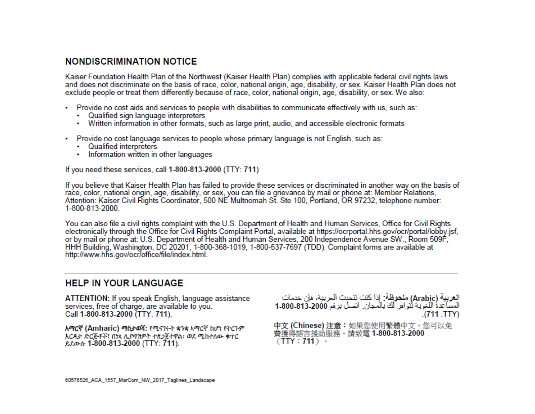# **NONDISCRIMINATION NOTICE**

Kaiser Foundation Health Plan of the Northwest (Kaiser Health Plan) complies with applicable federal civil rights laws and does not discriminate on the basis of race, color, national origin, age, disability, or sex. Kaiser Health Plan does not exclude people or treat them differently because of race, color, national origin, age, disability, or sex. We also:

- Provide no cost aids and services to people with disabilities to communicate effectively with us, such as:
	- Qualified sign language interpreters
	- Written information in other formats, such as large print, audio, and accessible electronic formats
- Provide no cost language services to people whose primary language is not English, such as:
	- Qualified interpreters
	- Information written in other languages

If you need these services, call 1-800-813-2000 (TTY: 711)

If you believe that Kaiser Health Plan has failed to provide these services or discriminated in another way on the basis of race, color, national origin, age, disability, or sex, you can file a grievance by mail or phone at: Member Relations, Attention: Kaiser Civil Rights Coordinator, 500 NE Multnomah St. Ste 100, Portland, OR 97232, telephone number: 1-800-813-2000.

You can also file a civil rights complaint with the U.S. Department of Health and Human Services, Office for Civil Rights electronically through the Office for Civil Rights Complaint Portal, available at https://ocrportal.hhs.gov/ocr/portal/lobby.jsf, or by mail or phone at: U.S. Department of Health and Human Services, 200 Independence Avenue SW., Room 509F, HHH Building, Washington, DC 20201, 1-800-368-1019, 1-800-537-7697 (TDD). Complaint forms are available at http://www.hhs.gov/ocr/office/file/index.html.

# **HELP IN YOUR LANGUAGE**

ATTENTION: If you speak English, language assistance services, free of charge, are available to you. Call 1-800-813-2000 (TTY: 711).

አማርኛ (Amharic) ማስታወሻ: የሚናገሩት ቋንቋ አማርኛ ከሆነ የትርጉም እርዳታ ድርጅቶች፣ በነጻ ሊያባዝዎት ተዘጋጀተዋል፡ ወደ ሚከተለው ቁጥር ይደውሱ 1-800-813-2000 (TTY: 711).

العربية (Arabic) ملحوظة: إذا كنت تتحدث البريبة، فإن خدمات المساعدة اللغوية تُتوافر لك بالمجان. اتصل برعَم 2000-313-1-800 .(711:TTY)

中文 (Chinese) 注意:如果您使用繁體中文,您可以免 費獲得語言援助服務。請致電 1-800-813-2000  $(TTY: 711)$